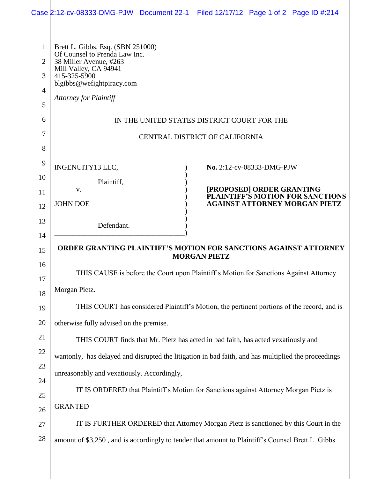|                                                         | Case 2:12-cv-08333-DMG-PJW Document 22-1 Filed 12/17/12 Page 1 of 2 Page ID #:214                                                                                                                   |                                                                               |  |                           |                                                                          |  |  |  |  |
|---------------------------------------------------------|-----------------------------------------------------------------------------------------------------------------------------------------------------------------------------------------------------|-------------------------------------------------------------------------------|--|---------------------------|--------------------------------------------------------------------------|--|--|--|--|
| $\mathbf{1}$<br>$\overline{2}$<br>3<br>4<br>5<br>6<br>7 | Brett L. Gibbs, Esq. (SBN 251000)<br>Of Counsel to Prenda Law Inc.<br>38 Miller Avenue, #263<br>Mill Valley, CA 94941<br>415-325-5900<br>blgibbs@wefightpiracy.com<br><b>Attorney for Plaintiff</b> | IN THE UNITED STATES DISTRICT COURT FOR THE<br>CENTRAL DISTRICT OF CALIFORNIA |  |                           |                                                                          |  |  |  |  |
| 8                                                       |                                                                                                                                                                                                     |                                                                               |  |                           |                                                                          |  |  |  |  |
| 9<br>10                                                 | INGENUITY13 LLC,                                                                                                                                                                                    |                                                                               |  | No. 2:12-cv-08333-DMG-PJW |                                                                          |  |  |  |  |
|                                                         | Plaintiff,<br>V.                                                                                                                                                                                    |                                                                               |  | [PROPOSED] ORDER GRANTING |                                                                          |  |  |  |  |
| 11                                                      | <b>JOHN DOE</b>                                                                                                                                                                                     |                                                                               |  |                           | PLAINTIFF'S MOTION FOR SANCTIONS<br><b>AGAINST ATTORNEY MORGAN PIETZ</b> |  |  |  |  |
| 12                                                      |                                                                                                                                                                                                     |                                                                               |  |                           |                                                                          |  |  |  |  |
| 13                                                      | Defendant.                                                                                                                                                                                          |                                                                               |  |                           |                                                                          |  |  |  |  |
| 14                                                      | <b>ORDER GRANTING PLAINTIFF'S MOTION FOR SANCTIONS AGAINST ATTORNEY</b><br><b>MORGAN PIETZ</b>                                                                                                      |                                                                               |  |                           |                                                                          |  |  |  |  |
| 15                                                      |                                                                                                                                                                                                     |                                                                               |  |                           |                                                                          |  |  |  |  |
| 16<br>17                                                | THIS CAUSE is before the Court upon Plaintiff's Motion for Sanctions Against Attorney                                                                                                               |                                                                               |  |                           |                                                                          |  |  |  |  |
| 18                                                      | Morgan Pietz.                                                                                                                                                                                       |                                                                               |  |                           |                                                                          |  |  |  |  |
| 19                                                      | THIS COURT has considered Plaintiff's Motion, the pertinent portions of the record, and is                                                                                                          |                                                                               |  |                           |                                                                          |  |  |  |  |
| 20                                                      | otherwise fully advised on the premise.                                                                                                                                                             |                                                                               |  |                           |                                                                          |  |  |  |  |
| 21                                                      | THIS COURT finds that Mr. Pietz has acted in bad faith, has acted vexatiously and                                                                                                                   |                                                                               |  |                           |                                                                          |  |  |  |  |
| $22\,$                                                  | wantonly, has delayed and disrupted the litigation in bad faith, and has multiplied the proceedings                                                                                                 |                                                                               |  |                           |                                                                          |  |  |  |  |
| 23                                                      |                                                                                                                                                                                                     |                                                                               |  |                           |                                                                          |  |  |  |  |
| 24                                                      | unreasonably and vexatiously. Accordingly,                                                                                                                                                          |                                                                               |  |                           |                                                                          |  |  |  |  |
| 25                                                      | IT IS ORDERED that Plaintiff's Motion for Sanctions against Attorney Morgan Pietz is                                                                                                                |                                                                               |  |                           |                                                                          |  |  |  |  |
| 26                                                      | <b>GRANTED</b>                                                                                                                                                                                      |                                                                               |  |                           |                                                                          |  |  |  |  |
| $27\,$                                                  | IT IS FURTHER ORDERED that Attorney Morgan Pietz is sanctioned by this Court in the                                                                                                                 |                                                                               |  |                           |                                                                          |  |  |  |  |
| $28\,$                                                  | amount of \$3,250, and is accordingly to tender that amount to Plaintiff's Counsel Brett L. Gibbs                                                                                                   |                                                                               |  |                           |                                                                          |  |  |  |  |